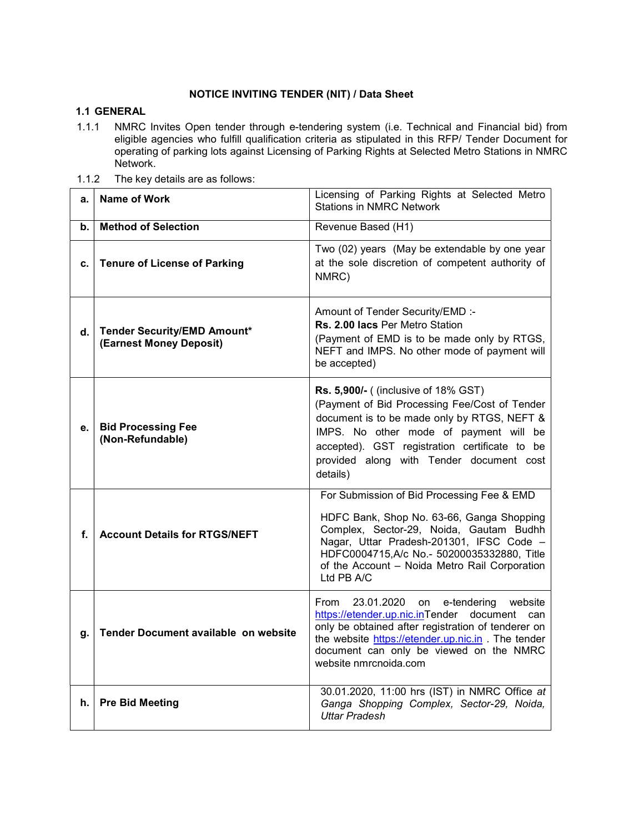## NOTICE INVITING TENDER (NIT) / Data Sheet

## 1.1 GENERAL

- 1.1.1 NMRC Invites Open tender through e-tendering system (i.e. Technical and Financial bid) from eligible agencies who fulfill qualification criteria as stipulated in this RFP/ Tender Document for operating of parking lots against Licensing of Parking Rights at Selected Metro Stations in NMRC Network.
- 1.1.2 The key details are as follows:

| a. | <b>Name of Work</b>                                           | Licensing of Parking Rights at Selected Metro<br><b>Stations in NMRC Network</b>                                                                                                                                                                                                               |  |
|----|---------------------------------------------------------------|------------------------------------------------------------------------------------------------------------------------------------------------------------------------------------------------------------------------------------------------------------------------------------------------|--|
| b. | <b>Method of Selection</b>                                    | Revenue Based (H1)                                                                                                                                                                                                                                                                             |  |
| c. | <b>Tenure of License of Parking</b>                           | Two (02) years (May be extendable by one year<br>at the sole discretion of competent authority of<br>NMRC)                                                                                                                                                                                     |  |
| d. | <b>Tender Security/EMD Amount*</b><br>(Earnest Money Deposit) | Amount of Tender Security/EMD :-<br>Rs. 2.00 lacs Per Metro Station<br>(Payment of EMD is to be made only by RTGS,<br>NEFT and IMPS. No other mode of payment will<br>be accepted)                                                                                                             |  |
| е. | <b>Bid Processing Fee</b><br>(Non-Refundable)                 | <b>Rs. 5,900/- (</b> (inclusive of 18% GST)<br>(Payment of Bid Processing Fee/Cost of Tender<br>document is to be made only by RTGS, NEFT &<br>IMPS. No other mode of payment will be<br>accepted). GST registration certificate to be<br>provided along with Tender document cost<br>details) |  |
| f. | <b>Account Details for RTGS/NEFT</b>                          | For Submission of Bid Processing Fee & EMD<br>HDFC Bank, Shop No. 63-66, Ganga Shopping<br>Complex, Sector-29, Noida, Gautam Budhh<br>Nagar, Uttar Pradesh-201301, IFSC Code -<br>HDFC0004715,A/c No.- 50200035332880, Title<br>of the Account - Noida Metro Rail Corporation<br>Ltd PB A/C    |  |
| g. | Tender Document available on website                          | 23.01.2020 on<br>From<br>e-tendering<br>website<br>https://etender.up.nic.inTender document can<br>only be obtained after registration of tenderer on<br>the website https://etender.up.nic.in . The tender<br>document can only be viewed on the NMRC<br>website nmrcnoida.com                |  |
| h. | <b>Pre Bid Meeting</b>                                        | 30.01.2020, 11:00 hrs (IST) in NMRC Office at<br>Ganga Shopping Complex, Sector-29, Noida,<br><b>Uttar Pradesh</b>                                                                                                                                                                             |  |